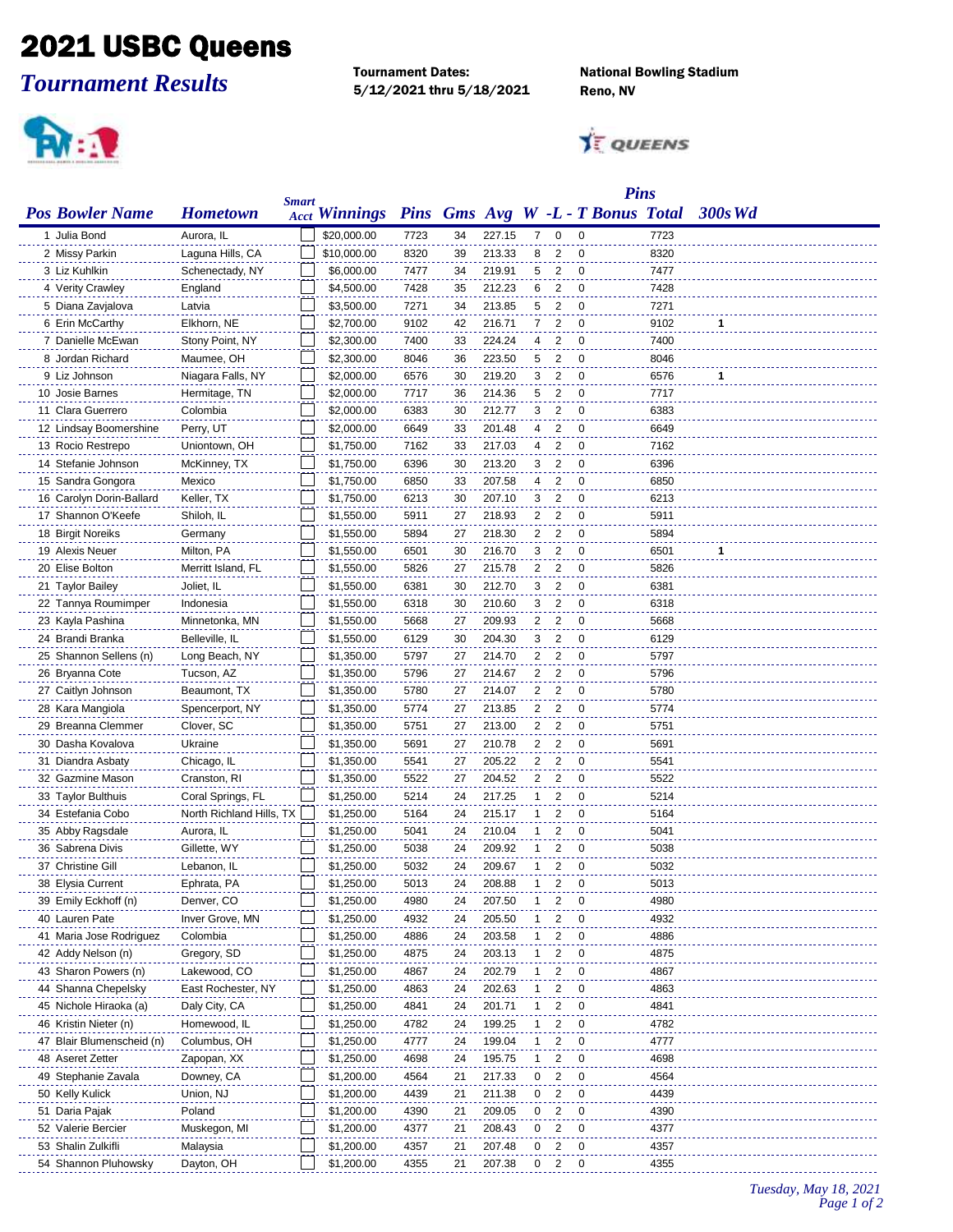## 2021 USBC Queens

*Tournament Results*

Tournament Dates: National Bowling Stadium 5/12/2021 thru 5/18/2021 Reno, NV



**TE QUEENS** 

|                                      |                          |              |                      |      |    |        |    |                         | <b>Pins</b>                       |      |         |
|--------------------------------------|--------------------------|--------------|----------------------|------|----|--------|----|-------------------------|-----------------------------------|------|---------|
| <b>Pos Bowler Name</b>               | <b>Hometown</b>          | <b>Smart</b> | <b>Acct Winnings</b> |      |    |        |    |                         | Pins Gms Avg W -L - T Bonus Total |      | 300s Wd |
| 1 Julia Bond                         | Aurora. IL               |              | \$20,000.00          | 7723 | 34 | 227.15 | 7  | 0                       | $\mathbf 0$                       | 7723 |         |
| 2 Missy Parkin                       | Laguna Hills, CA         |              | \$10,000.00          | 8320 | 39 | 213.33 | 8  | 2                       | $\mathbf 0$                       | 8320 |         |
| 3 Liz Kuhlkin                        | Schenectady, NY          |              | \$6,000.00           | 7477 | 34 | 219.91 | 5  | $\overline{2}$          | $\overline{0}$                    | 7477 |         |
| 4 Verity Crawley                     | England                  |              | \$4,500.00           | 7428 | 35 | 212.23 | 6  | $\overline{2}$          | 0                                 | 7428 |         |
| 5 Diana Zavjalova                    | Latvia                   |              | \$3,500.00           | 7271 | 34 | 213.85 | 5  | $\overline{2}$          | 0                                 | 7271 |         |
| 6 Erin McCarthy                      | Elkhorn, NE              |              | \$2,700.00           | 9102 | 42 | 216.71 | 7  | 2                       | 0                                 | 9102 | 1       |
| 7 Danielle McEwan                    | Stony Point, NY          |              | \$2,300.00           | 7400 | 33 | 224.24 | 4  | 2                       | 0                                 | 7400 |         |
| 8 Jordan Richard                     | Maumee, OH               |              | \$2,300.00           | 8046 | 36 | 223.50 | 5  | 2                       | $\Omega$                          | 8046 |         |
| 9 Liz Johnson                        | Niagara Falls, NY        |              | \$2,000.00           | 6576 | 30 | 219.20 | 3  | 2                       | $\mathbf 0$                       | 6576 | 1       |
| 10 Josie Barnes                      | Hermitage, TN            |              | \$2,000.00           | 7717 | 36 | 214.36 | 5  | 2                       | $\mathbf 0$                       | 7717 |         |
| 11 Clara Guerrero                    | Colombia                 |              | \$2,000.00           | 6383 | 30 | 212.77 | 3  | $\overline{2}$          | $\mathbf 0$                       | 6383 |         |
| 12 Lindsay Boomershine               | Perry, UT                |              | \$2,000.00           | 6649 | 33 | 201.48 | 4  | $\overline{2}$          | 0                                 | 6649 |         |
| 13 Rocio Restrepo                    | Uniontown, OH            |              | \$1,750.00           | 7162 | 33 | 217.03 | 4  | $\overline{2}$          | 0                                 | 7162 |         |
| 14 Stefanie Johnson                  | McKinney, TX             |              | \$1,750.00           | 6396 | 30 | 213.20 | 3  | 2                       | 0                                 | 6396 |         |
| 15 Sandra Gongora                    | Mexico                   |              | \$1,750.00           | 6850 | 33 | 207.58 | 4  | 2                       | 0                                 | 6850 |         |
| 16 Carolyn Dorin-Ballard             | Keller, TX               |              | \$1,750.00           | 6213 | 30 | 207.10 | 3  | 2                       | 0                                 | 6213 |         |
| 17 Shannon O'Keefe                   |                          |              |                      |      |    | 218.93 | 2  | $\overline{2}$          | 0                                 | 5911 |         |
|                                      | Shiloh, IL               |              | \$1,550.00           | 5911 | 27 |        |    |                         |                                   |      |         |
| 18 Birgit Noreiks<br>19 Alexis Neuer | Germany                  |              | \$1,550.00           | 5894 | 27 | 218.30 | 2  | 2                       | $\mathbf 0$                       | 5894 |         |
|                                      | Milton, PA               |              | \$1,550.00           | 6501 | 30 | 216.70 | 3  | $\overline{2}$          | $\mathbf 0$                       | 6501 | 1       |
| 20 Elise Bolton                      | Merritt Island, FL       |              | \$1,550.00           | 5826 | 27 | 215.78 | 2  | $\overline{\mathbf{2}}$ | 0                                 | 5826 |         |
| 21 Taylor Bailey                     | Joliet, IL               |              | \$1,550.00           | 6381 | 30 | 212.70 | 3  | $\overline{2}$          | 0                                 | 6381 |         |
| 22 Tannya Roumimper                  | Indonesia                |              | \$1,550.00           | 6318 | 30 | 210.60 | 3  | 2                       | 0                                 | 6318 |         |
| 23 Kayla Pashina                     | Minnetonka, MN           |              | \$1,550.00           | 5668 | 27 | 209.93 | 2  | 2                       | 0                                 | 5668 |         |
| 24 Brandi Branka                     | Belleville, IL           |              | \$1,550.00           | 6129 | 30 | 204.30 | 3  | 2                       | 0                                 | 6129 |         |
| 25 Shannon Sellens (n)               | Long Beach, NY           |              | \$1,350.00           | 5797 | 27 | 214.70 | 2  | $\overline{2}$          | $\Omega$                          | 5797 |         |
| 26 Bryanna Cote                      | Tucson, AZ               |              | \$1,350.00           | 5796 | 27 | 214.67 | 2  | 2                       | $\mathbf 0$                       | 5796 |         |
| 27 Caitlyn Johnson                   | Beaumont, TX             |              | \$1,350.00           | 5780 | 27 | 214.07 | 2  | $\overline{2}$          | $\mathbf 0$                       | 5780 |         |
| 28 Kara Mangiola                     | Spencerport, NY          |              | \$1,350.00           | 5774 | 27 | 213.85 | 2  | $\overline{2}$          | $\mathbf 0$                       | 5774 |         |
| 29 Breanna Clemmer                   | Clover, SC               |              | \$1,350.00           | 5751 | 27 | 213.00 | 2  | $\overline{2}$          | $\Omega$                          | 5751 |         |
| 30 Dasha Kovalova                    | Ukraine                  |              | \$1,350.00           | 5691 | 27 | 210.78 | 2  | 2                       | 0                                 | 5691 |         |
| 31 Diandra Asbaty                    | Chicago, IL              |              | \$1,350.00           | 5541 | 27 | 205.22 | 2  | 2                       | 0                                 | 5541 |         |
| 32 Gazmine Mason                     | Cranston, RI             |              | \$1,350.00           | 5522 | 27 | 204.52 | 2  | 2                       | 0                                 | 5522 |         |
| 33 Taylor Bulthuis                   | Coral Springs, FL        |              | \$1,250.00           | 5214 | 24 | 217.25 | 1  | 2                       | 0                                 | 5214 |         |
| 34 Estefania Cobo                    | North Richland Hills, TX |              | \$1,250.00           | 5164 | 24 | 215.17 | 1  | 2                       | 0                                 | 5164 |         |
| 35 Abby Ragsdale                     | Aurora, IL               |              | \$1,250.00           | 5041 | 24 | 210.04 | 1  | 2                       | 0                                 | 5041 |         |
| 36 Sabrena Divis                     | Gillette, WY             |              | \$1,250.00           | 5038 | 24 | 209.92 | 1  | 2                       | 0                                 | 5038 |         |
| 37 Christine Gill                    | Lebanon, IL              |              | \$1,250.00           | 5032 | 24 | 209.67 |    | $1\quad 2$              | 0                                 | 5032 |         |
| 38 Elysia Current                    | Ephrata, PA              |              | \$1,250.00           | 5013 | 24 | 208.88 | 1  | 2                       | 0                                 | 5013 |         |
| 39 Emily Eckhoff (n)                 | Denver, CO               |              | \$1,250.00           | 4980 | 24 | 207.50 |    | 2                       | 0                                 | 4980 |         |
| 40 Lauren Pate                       | Inver Grove, MN          |              | \$1,250.00           | 4932 | 24 | 205.50 | 1  | 2                       | 0                                 | 4932 |         |
| 41 Maria Jose Rodriguez              | Colombia                 |              | \$1,250.00           | 4886 | 24 | 203.58 | 1  | 2                       | 0                                 | 4886 |         |
| 42 Addy Nelson (n)                   | Gregory, SD              |              | \$1,250.00           | 4875 | 24 | 203.13 | 1  | 2                       | $\mathbf 0$                       | 4875 |         |
| 43 Sharon Powers (n)                 | Lakewood, CO             |              | \$1,250.00           | 4867 | 24 | 202.79 | 1  | 2                       | 0                                 | 4867 |         |
| 44 Shanna Chepelsky                  | East Rochester, NY       |              | \$1,250.00           | 4863 | 24 | 202.63 | 1  | $\overline{c}$          | 0                                 | 4863 |         |
| 45 Nichole Hiraoka (a)               | Daly City, CA            |              | \$1,250.00           | 4841 | 24 | 201.71 | 1. | 2                       | 0                                 | 4841 |         |
| 46 Kristin Nieter (n)                | Homewood, IL             |              | \$1,250.00           | 4782 | 24 | 199.25 | 1  | 2                       | 0                                 | 4782 |         |
| 47 Blair Blumenscheid (n)            | Columbus, OH             |              | \$1,250.00           | 4777 | 24 | 199.04 | 1  | 2                       | 0                                 | 4777 |         |
| 48 Aseret Zetter                     | Zapopan, XX              |              | \$1,250.00           | 4698 | 24 | 195.75 | 1  | 2                       | 0                                 | 4698 |         |
| 49 Stephanie Zavala                  | Downey, CA               |              | \$1,200.00           | 4564 | 21 | 217.33 | 0  | 2                       | $\mathbf 0$                       | 4564 |         |
| 50 Kelly Kulick                      | Union, NJ                |              | \$1,200.00           | 4439 | 21 | 211.38 | 0  | 2                       | 0                                 | 4439 |         |
| 51 Daria Pajak                       | Poland                   |              | \$1,200.00           | 4390 | 21 | 209.05 | 0  | $\overline{\mathbf{c}}$ | $\mathbf 0$                       | 4390 |         |
| 52 Valerie Bercier                   | Muskegon, MI             |              | \$1,200.00           | 4377 | 21 | 208.43 | 0  | $\overline{2}$          | 0                                 | 4377 |         |
| 53 Shalin Zulkifli                   | Malaysia                 |              | \$1,200.00           | 4357 | 21 | 207.48 | 0  | $\overline{2}$          | 0                                 | 4357 |         |
| 54 Shannon Pluhowsky                 | Dayton, OH               |              | \$1,200.00           | 4355 | 21 | 207.38 | 0  | $\overline{2}$          | 0                                 | 4355 |         |
|                                      |                          |              |                      |      |    |        |    |                         |                                   |      |         |